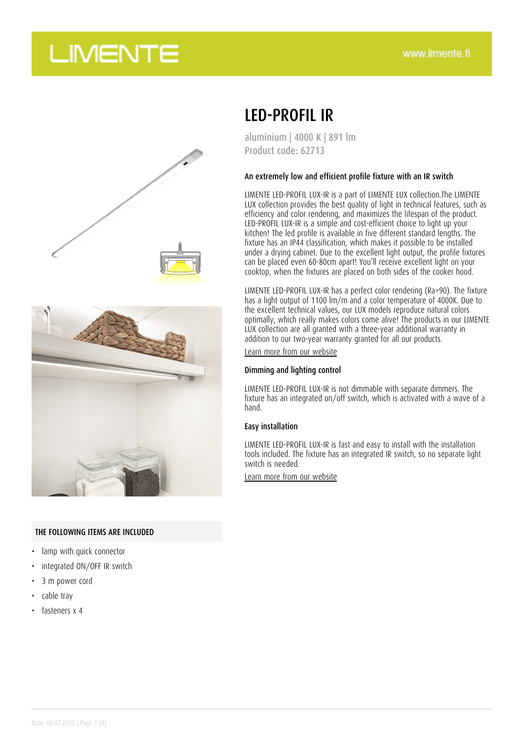## **LIMENTE**



#### THE FOLLOWING ITEMS ARE INCLUDED

- lamp with quick connector
- integrated ON/OFF IR switch
- 3 m power cord
- cable tray
- fasteners x 4

### LED-PROFIL IR

aluminium | 4000 K | 891 lm Product code: 62713

#### An extremely low and efficient profile fixture with an IR switch

LIMENTE LED-PROFIL LUX-IR is a part of LIMENTE LUX collection.The LIMENTE LUX collection provides the best quality of light in technical features, such as efficiency and color rendering, and maximizes the lifespan of the product. LED-PROFIL LUX-IR is a simple and cost-efficient choice to light up your kitchen! The led profile is available in five different standard lengths. The fixture has an IP44 classification, which makes it possible to be installed under a drying cabinet. Due to the excellent light output, the profile fixtures can be placed even 60-80cm apart! You'll receive excellent light on your cooktop, when the fixtures are placed on both sides of the cooker hood.

LIMENTE LED-PROFIL LUX-IR has a perfect color rendering (Ra>90). The fixture has a light output of 1100 lm/m and a color temperature of 4000K. Due to the excellent technical values, our LUX models reproduce natural colors optimally, which really makes colors come alive! The products in our LIMENTE LUX collection are all granted with a three-year additional warranty in addition to our two-year warranty granted for all our products.

[Learn more from our website](https://www.limente.fi/tuotteet/62713)

#### Dimming and lighting control

LIMENTE LED-PROFIL LUX-IR is not dimmable with separate dimmers. The fixture has an integrated on/off switch, which is activated with a wave of a hand.

#### Easy installation

LIMENTE LED-PROFIL LUX-IR is fast and easy to install with the installation tools included. The fixture has an integrated IR switch, so no separate light switch is needed.

[Learn more from our website](https://www.limente.fi/tuotteet/62713)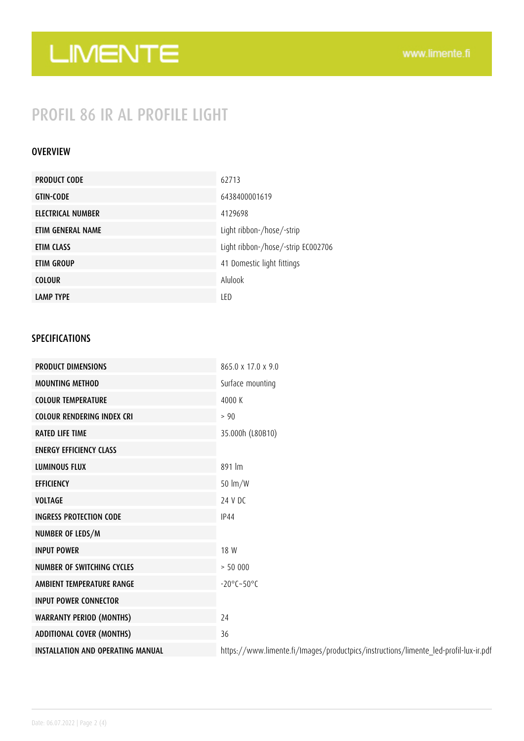# LIMENTE

### PROFIL 86 IR AL PROFILE LIGHT

### OVERVIEW

| <b>PRODUCT CODE</b> | 62713                              |
|---------------------|------------------------------------|
| <b>GTIN-CODE</b>    | 6438400001619                      |
| ELECTRICAL NUMBER   | 4129698                            |
| ETIM GENERAL NAME   | Light ribbon-/hose/-strip          |
| ETIM CLASS          | Light ribbon-/hose/-strip EC002706 |
| ETIM GROUP          | 41 Domestic light fittings         |
| <b>COLOUR</b>       | Alulook                            |
| <b>LAMP TYPE</b>    | LED                                |

### SPECIFICATIONS

| <b>PRODUCT DIMENSIONS</b>                | 865.0 x 17.0 x 9.0                                                                   |
|------------------------------------------|--------------------------------------------------------------------------------------|
| <b>MOUNTING METHOD</b>                   | Surface mounting                                                                     |
| <b>COLOUR TEMPERATURE</b>                | 4000 K                                                                               |
| <b>COLOUR RENDERING INDEX CRI</b>        | > 90                                                                                 |
| <b>RATED LIFE TIME</b>                   | 35.000h (L80B10)                                                                     |
| <b>ENERGY EFFICIENCY CLASS</b>           |                                                                                      |
| <b>LUMINOUS FLUX</b>                     | 891 lm                                                                               |
| <b>EFFICIENCY</b>                        | 50 lm/W                                                                              |
| <b>VOLTAGE</b>                           | 24 V DC                                                                              |
| <b>INGRESS PROTECTION CODE</b>           | <b>IP44</b>                                                                          |
| NUMBER OF LEDS/M                         |                                                                                      |
| <b>INPUT POWER</b>                       | 18 W                                                                                 |
| <b>NUMBER OF SWITCHING CYCLES</b>        | > 50000                                                                              |
| AMBIENT TEMPERATURE RANGE                | $-20^{\circ}$ C $-50^{\circ}$ C                                                      |
| <b>INPUT POWER CONNECTOR</b>             |                                                                                      |
| <b>WARRANTY PERIOD (MONTHS)</b>          | 24                                                                                   |
| <b>ADDITIONAL COVER (MONTHS)</b>         | 36                                                                                   |
| <b>INSTALLATION AND OPERATING MANUAL</b> | https://www.limente.fi/Images/productpics/instructions/limente_led-profil-lux-ir.pdf |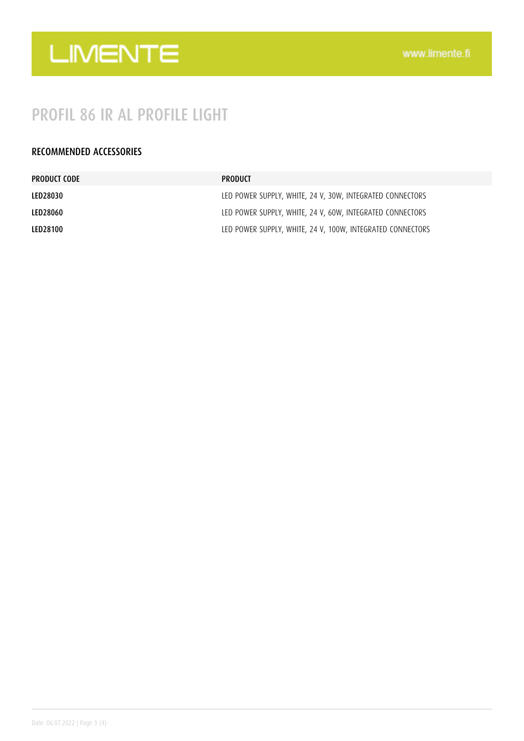

### PROFIL 86 IR AL PROFILE LIGHT

### RECOMMENDED ACCESSORIES

| PRODUCT CODE    | PRODUCT                                                    |
|-----------------|------------------------------------------------------------|
| LED28030        | LED POWER SUPPLY, WHITE, 24 V, 30W, INTEGRATED CONNECTORS  |
| LED28060        | LED POWER SUPPLY, WHITE, 24 V, 60W, INTEGRATED CONNECTORS  |
| <b>LED28100</b> | LED POWER SUPPLY, WHITE, 24 V, 100W, INTEGRATED CONNECTORS |
|                 |                                                            |